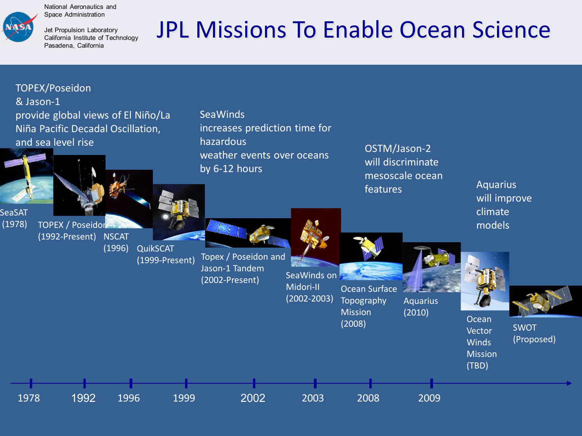

National Aeronautics and Space Administration

Jet Propulsion Laboratory California Institute of Technology Pasadena, California

## JPL Missions To Enable Ocean Science